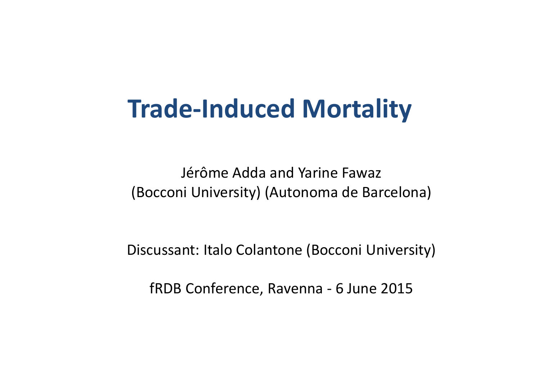# **Trade-Induced Mortality**

Jérôme Adda and Yarine Fawaz (Bocconi University) (Autonoma de Barcelona)

Discussant: Italo Colantone (Bocconi University)

fRDB Conference, Ravenna - 6 June <sup>2015</sup>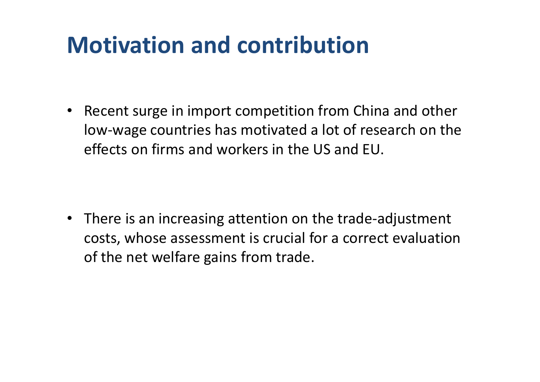### **Motivation and contribution**

• Recent surge in import competition from China and othe rlow-wage countries has motivated a lot of research on the effects on firms and workers in the US and EU.

• There is an increasing attention on the trade-adjustment costs, whose assessment is crucial for a correct evaluationof the net welfare gains from trade.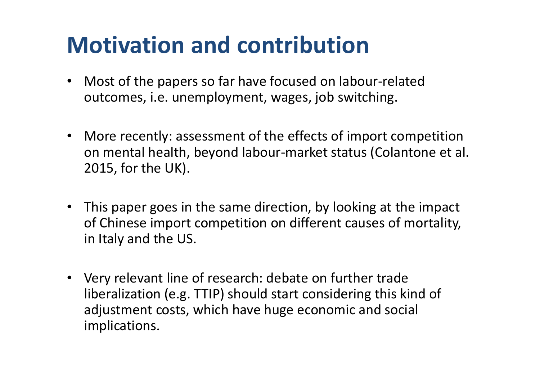#### **Motivation and contribution**

- • Most of the papers so far have focused on labour-relate doutcomes, i.e. unemployment, wages, job switching.
- More recently: assessment of the effects of import competition on mental health, beyond labour-market status (Colantone et al. 2015, for the UK).
- This paper goes in the same direction, by looking at the impact of Chinese import competition on different causes of mortality, in Italy and the US.
- Very relevant line of research: debate on further trade liberalization (e.g. TTIP) should start considering this kind of adjustment costs, which have huge economic and social implications.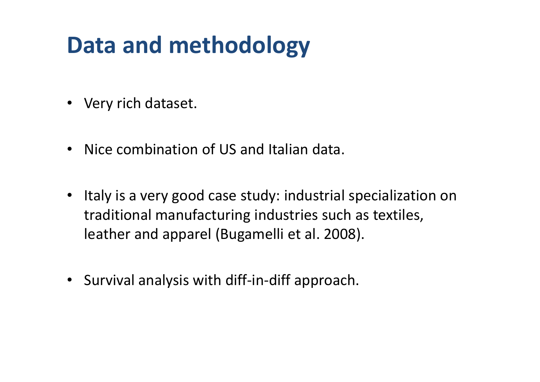## **Data and methodology**

- Very rich dataset.
- Nice combination of US and Italian data.
- Italy is a very good case study: industrial specialization on traditional manufacturing industries such as textiles, leather and apparel (Bugamelli et al. 2008).
- Survival analysis with diff-in-diff approach.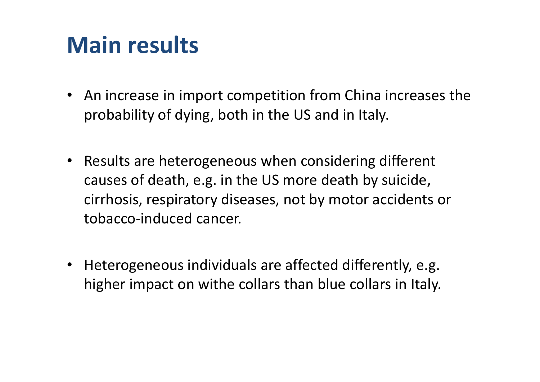#### **Main results**

- An increase in import competition from China increases the probability of dying, both in the US and in Italy.
- Results are heterogeneous when considering different causes of death, e.g. in the US more death by suicide, cirrhosis, respiratory diseases, not by motor accidents or tobacco-induced cancer.
- $\bullet$  Heterogeneous individuals are affected differently, e.g. higher impact on withe collars than blue collars in Italy.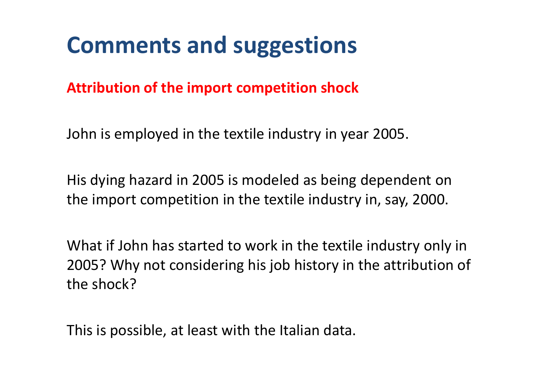**Attribution of the import competition shock**

John is employed in the textile industry in year 2005.

His dying hazard in 2005 is modeled as being dependent on the import competition in the textile industry in, say, 2000.

What if John has started to work in the textile industry only in 2005? Why not considering his job history in the attribution of the shock?

This is possible, at least with the Italian data.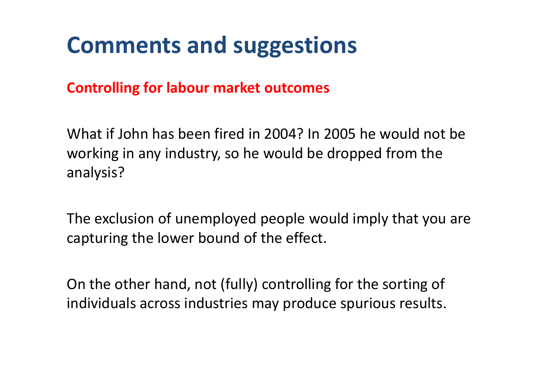**Controlling for labour market outcomes**

What if John has been fired in 2004? In 2005 he would not be working in any industry, so he would be dropped from the analysis?

The exclusion of unemployed people would imply that you are capturing the lower bound of the effect.

On the other hand, not (fully) controlling for the sorting of individuals across industries may produce spurious results.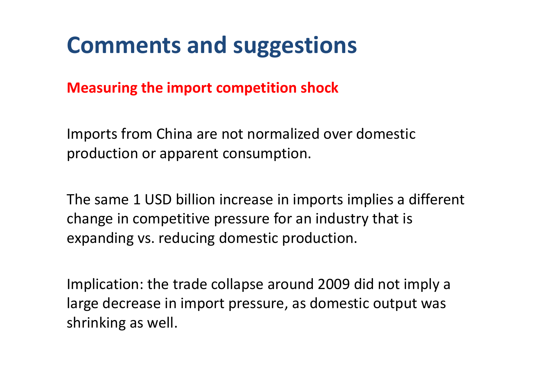**Measuring the import competition shock** 

Imports from China are not normalized over domestic production or apparent consumption.

The same 1 USD billion increase in imports implies a different change in competitive pressure for an industry that is expanding vs. reducing domestic production.

Implication: the trade collapse around 2009 did not imply <sup>a</sup> large decrease in import pressure, as domestic output was shrinking as well.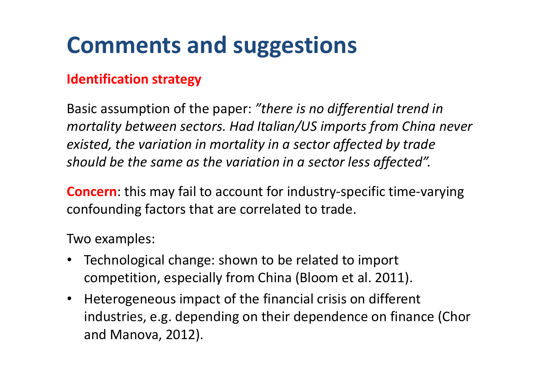#### **Identification strategy**

Basic assumption of the paper: *"there is no differential trend in mortality between sectors. Had Italian/US imports from China never existed, the variation in mortality in a sector affected by trade should be the same as the variation in a sector less affected".*

**Concern**: this may fail to account for industry-specific time-varying confounding factors that are correlated to trade.

Two examples:

- $\bullet$  Technological change: shown to be related to import competition, especially from China (Bloom et al. 2011).
- Heterogeneous impact of the financial crisis on different industries, e.g. depending on their dependence on finance (Chor and Manova, 2012).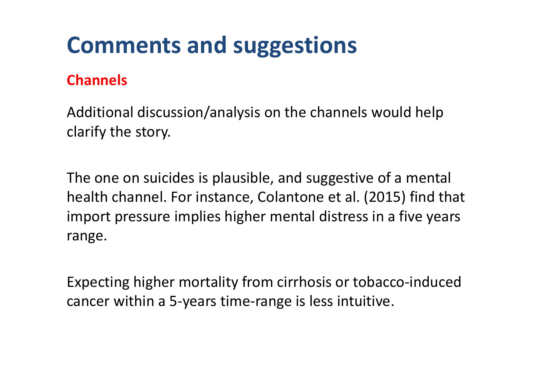#### **Channels**

Additional discussion/analysis on the channels would help clarify the story.

The one on suicides is plausible, and suggestive of a mental health channel. For instance, Colantone et al. (2015) find that import pressure implies higher mental distress in a five years range.

Expecting higher mortality from cirrhosis or tobacco-inducedcancer within a 5-years time-range is less intuitive.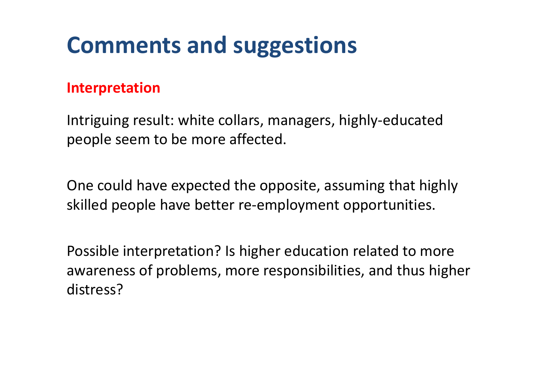#### **Interpretation**

Intriguing result: white collars, managers, highly-educatedpeople seem to be more affected.

One could have expected the opposite, assuming that highly skilled people have better re-employment opportunities.

Possible interpretation? Is higher education related to more awareness of problems, more responsibilities, and thus higher distress?